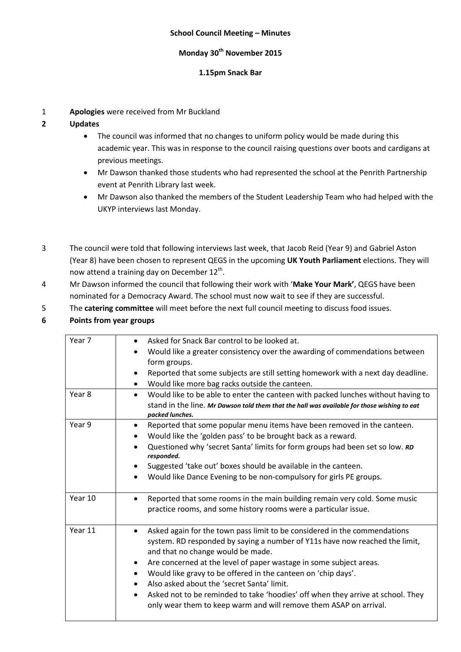### **School Council Meeting – Minutes**

## **Monday 30th November 2015**

### **1.15pm Snack Bar**

1 **Apologies** were received from Mr Buckland

### **2 Updates**

- The council was informed that no changes to uniform policy would be made during this academic year. This was in response to the council raising questions over boots and cardigans at previous meetings.
- Mr Dawson thanked those students who had represented the school at the Penrith Partnership event at Penrith Library last week.
- Mr Dawson also thanked the members of the Student Leadership Team who had helped with the UKYP interviews last Monday.
- 3 The council were told that following interviews last week, that Jacob Reid (Year 9) and Gabriel Aston (Year 8) have been chosen to represent QEGS in the upcoming **UK Youth Parliament** elections. They will now attend a training day on December  $12^{th}$ .
- 4 Mr Dawson informed the council that following their work with '**Make Your Mark'**, QEGS have been nominated for a Democracy Award. The school must now wait to see if they are successful.
- 5 The **catering committee** will meet before the next full council meeting to discuss food issues.

## **6 Points from year groups**

| Year <sub>7</sub> | Asked for Snack Bar control to be looked at.<br>$\bullet$<br>Would like a greater consistency over the awarding of commendations between<br>$\bullet$             |
|-------------------|-------------------------------------------------------------------------------------------------------------------------------------------------------------------|
|                   | form groups.                                                                                                                                                      |
|                   | Reported that some subjects are still setting homework with a next day deadline.                                                                                  |
|                   | Would like more bag racks outside the canteen.                                                                                                                    |
| Year <sub>8</sub> | Would like to be able to enter the canteen with packed lunches without having to<br>$\bullet$                                                                     |
|                   | stand in the line. Mr Dawson told them that the hall was available for those wishing to eat<br>packed lunches.                                                    |
| Year 9            | Reported that some popular menu items have been removed in the canteen.<br>$\bullet$                                                                              |
|                   | Would like the 'golden pass' to be brought back as a reward.<br>$\bullet$                                                                                         |
|                   | Questioned why 'secret Santa' limits for form groups had been set so low. RD<br>$\bullet$<br>responded.                                                           |
|                   | Suggested 'take out' boxes should be available in the canteen.<br>$\bullet$                                                                                       |
|                   | Would like Dance Evening to be non-compulsory for girls PE groups.<br>$\bullet$                                                                                   |
| Year 10           | Reported that some rooms in the main building remain very cold. Some music<br>$\bullet$                                                                           |
|                   | practice rooms, and some history rooms were a particular issue.                                                                                                   |
| Year 11           | Asked again for the town pass limit to be considered in the commendations<br>$\bullet$                                                                            |
|                   | system. RD responded by saying a number of Y11s have now reached the limit,<br>and that no change would be made.                                                  |
|                   | Are concerned at the level of paper wastage in some subject areas.<br>$\bullet$                                                                                   |
|                   | Would like gravy to be offered in the canteen on 'chip days'.<br>$\bullet$                                                                                        |
|                   | Also asked about the 'secret Santa' limit.                                                                                                                        |
|                   | Asked not to be reminded to take 'hoodies' off when they arrive at school. They<br>$\bullet$<br>only wear them to keep warm and will remove them ASAP on arrival. |
|                   |                                                                                                                                                                   |